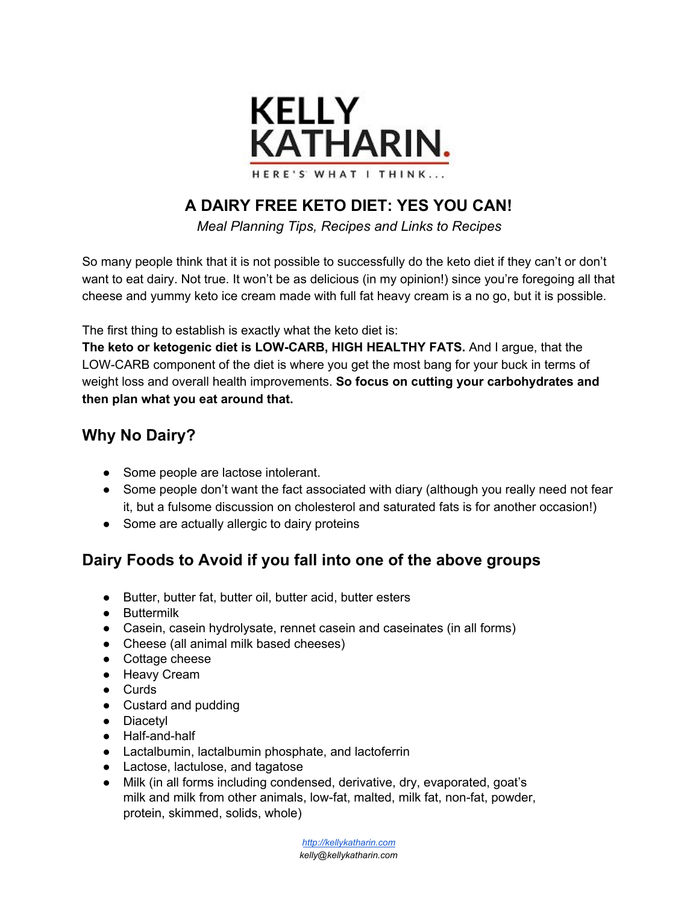

# **A DAIRY FREE KETO DIET: YES YOU CAN!**

*Meal Planning Tips, Recipes and Links to Recipes*

So many people think that it is not possible to successfully do the keto diet if they can't or don't want to eat dairy. Not true. It won't be as delicious (in my opinion!) since you're foregoing all that cheese and yummy keto ice cream made with full fat heavy cream is a no go, but it is possible.

The first thing to establish is exactly what the keto diet is:

**The keto or ketogenic diet is LOW-CARB, HIGH HEALTHY FATS.** And I argue, that the LOW-CARB component of the diet is where you get the most bang for your buck in terms of weight loss and overall health improvements. **So focus on cutting your carbohydrates and then plan what you eat around that.**

# **Why No Dairy?**

- Some people are lactose intolerant.
- Some people don't want the fact associated with diary (although you really need not fear it, but a fulsome discussion on cholesterol and saturated fats is for another occasion!)
- Some are actually allergic to dairy proteins

# **Dairy Foods to Avoid if you fall into one of the above groups**

- Butter, butter fat, butter oil, butter acid, butter esters
- Buttermilk
- Casein, casein hydrolysate, rennet casein and caseinates (in all forms)
- Cheese (all animal milk based cheeses)
- Cottage cheese
- Heavy Cream
- Curds
- Custard and pudding
- Diacetyl
- Half-and-half
- Lactalbumin, lactalbumin phosphate, and lactoferrin
- Lactose, lactulose, and tagatose
- Milk (in all forms including condensed, derivative, dry, evaporated, goat's milk and milk from other animals, low-fat, malted, milk fat, non-fat, powder, protein, skimmed, solids, whole)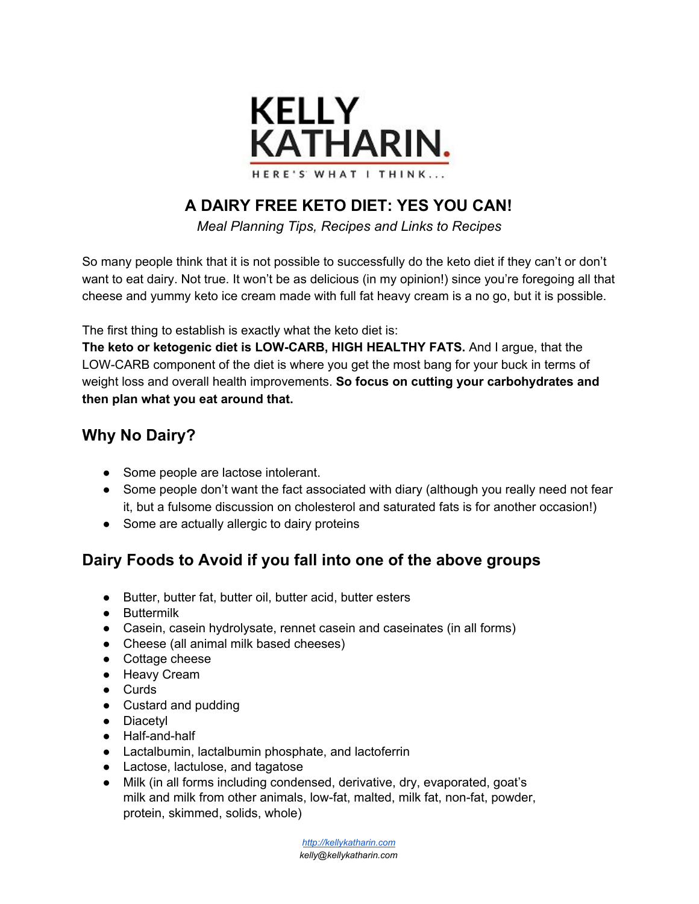- Milk-based protein powders
- Sour cream, sour cream solids, and sour milk solids
- Whey (in all forms)
- Yogurt (in all forms)

# **...And here's all you CAN eat on a dairy free keto diet**

- **Animal fats and plant-based oils.** Avoid all fats that are derived from dairy and stick with plant-based oils like coconut oil, MCT oil, and olive oil and animal fats like lard, tallow, and duck fat.
- **Red meat, poultry, and seafood.** Try to stick with organic, pasture-raised, and 100% grass-fed meat and wild caught fish where possible.
- **Low-carb vegetables.** Stick with above ground vegetables, leaning toward leafy/green produce.
- **Low-carb fruits.** Although most fruits are not keto-friendly, there are a handful that make a great addition to the ketogenic diet. Some examples of keto-friendly fruits are avocados, berries, and some citrus fruits.
- **Nuts and seeds.** Eat nuts and seeds in moderation as some contain a decent amount of carbs. Try to use fattier nuts like macadamias, pecans, and almonds.
- **Dairy alternatives.** There are plenty dairy alternatives that you can use to replace common keto foods like heavy cream, cheese, sour cream, half and half, and yogurt. Coconut oil, milk and cream are excellent. Ghee in place of butter works. Olive oil is good too. Nut butters work. **Znci UFYJ cJbJ 'hc VY'** iglbl UdfcWggYXXUfmUhYfbUHjYVYgifYhcfYUX'h Y"UVY"ZfghUbX" W<sub>W</sub> H YWFVW i bh<sup>"</sup>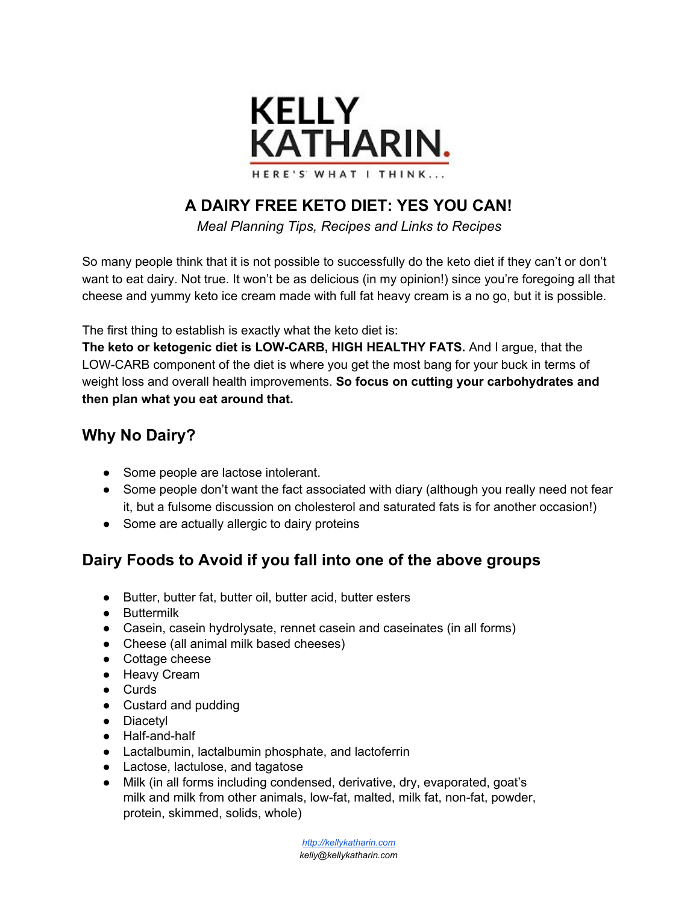Here's a simple guide to eating keto. **If you want to go dairy free, omit the cheese, butter and cream choices provided. That's it.**

| <b>KETO MADE SIMPLE</b><br>PICK A |                   |                                        |
|-----------------------------------|-------------------|----------------------------------------|
| <b>PROTEIN</b>                    | <b>VEG (OR 2)</b> | <b>ADD FAT</b><br>ľ                    |
| -Chicken                          | -Brocolli         | -Avocado                               |
| -Fish                             | -Brussels         | -Cheese                                |
| -Beef                             | -Asparagus        | -Nuts                                  |
| -Pork                             | -Salad            | -Eggs                                  |
| -Turkey                           | -Cauliflower      | -Pork rinds                            |
| -Lamb                             | -Squash           | -Dressing                              |
| -Venison                          | -Courgette        | -Bacon                                 |
| - Seafood                         | -Radish           | -Ghee                                  |
| -Eggs                             | -Onion            | -Butter                                |
| -Steak                            | -Green Pepper     | -Olive Oil                             |
| -Plant-Based                      | -Cucumber         | -Lard                                  |
| -Protein Powder                   | -Turnip           | -Cream                                 |
|                                   | -Green beans      | -Coconut oil                           |
| ketobodyuk                        |                   | : Simple as that www.ketolowcarb.co.uk |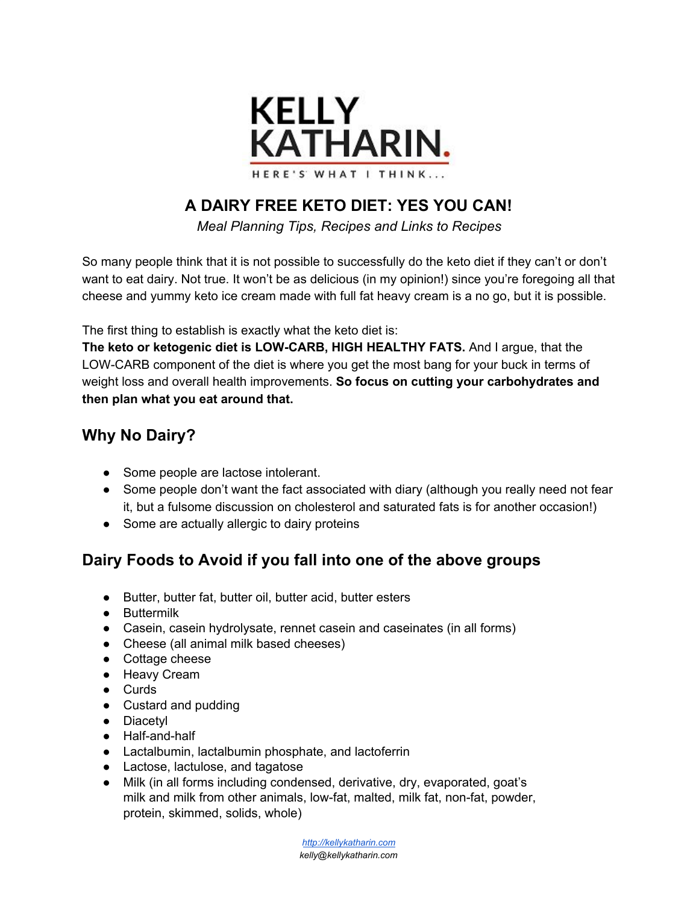# **Dairy Free Breakfast Options: FYZYFIE IN YW UFHUVCJ YIE [I] XY** *nci ']b nci f gY YWijcbg"<YfYUFYUZ/k 'YI Ua d'Yg" = PY dfcj JXYX fYWjdYg' If IR* cgYcdlicbg a Uf\_YX'k Jh 'Ub'UghYf]I 'ł'"

- Eggs in any form prepared with coconut oil if needed
- Eggs in any form combined with sausages, tuna, bacon or any other form of animal protein
- Coconut milk berry smoothie\*
- Steamed or stir fried veggies (cabbage or callaloo) with saltfish or any other form of animal protein
- Low-carb granola cereal\* with almond or coconut milk

# **Dairy Free Lunch/Dinner Options: FYZM To The VW UFHUVC PT To The Theory And The Theory And The Theory And The Theory And Theory And Theory And Theory And Theory And Theory And Theory And Theory And Theory And Theory And T** *[i]XYnci ]b nci f gY YWjcbg"< YfY UFY UZYk 'YI Uad Yg" = PY dfcj JXYX'* fYWJdYg Zef h cgYcdhjcbg a Uf\_YX'k jh 'Ub'UghYfjl 'ł'"

- Rotisserie chicken with your choice of green veggies, raw or cooked
- Curried goat with cauliflower rice\*
- Grilled fish with veggies
- Oxtail and cauliflower rice
- Corned beef and cabbage
- Jerked chicken or pork alone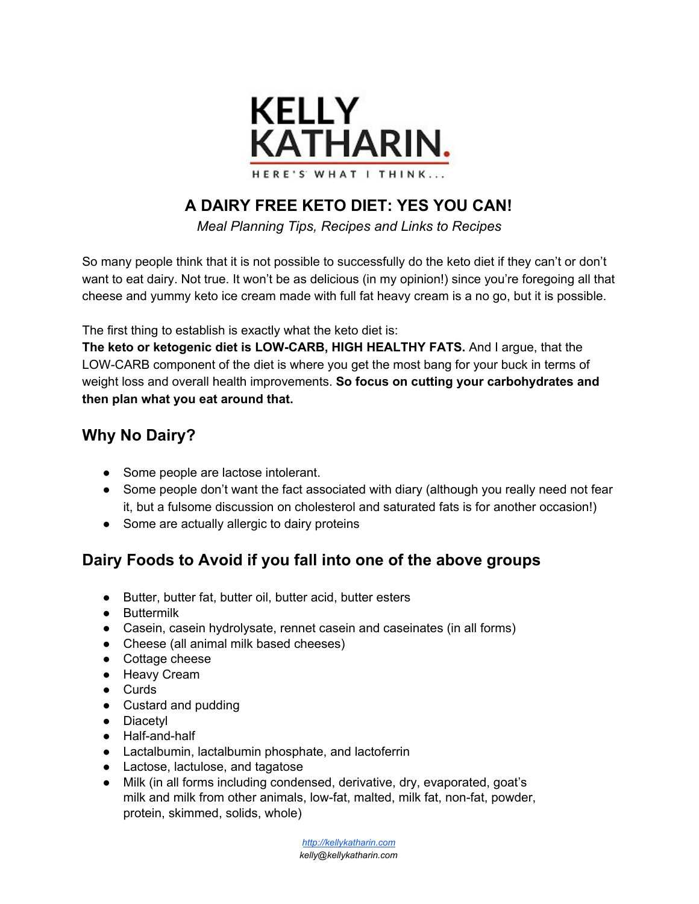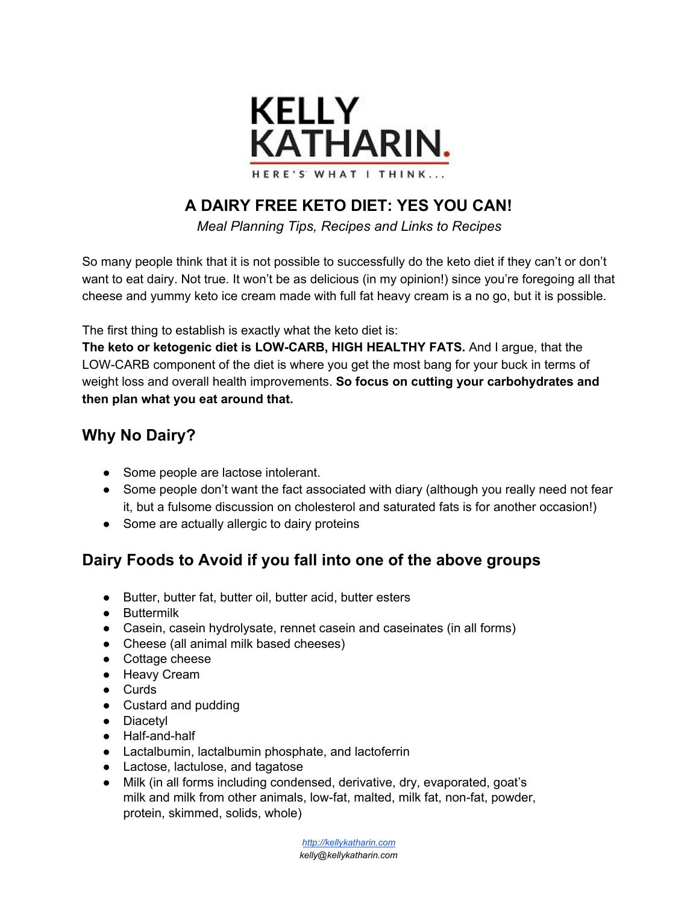

*[http://kellykatharin.com](http://kellykatharin.com/) kelly@kellykatharin.com*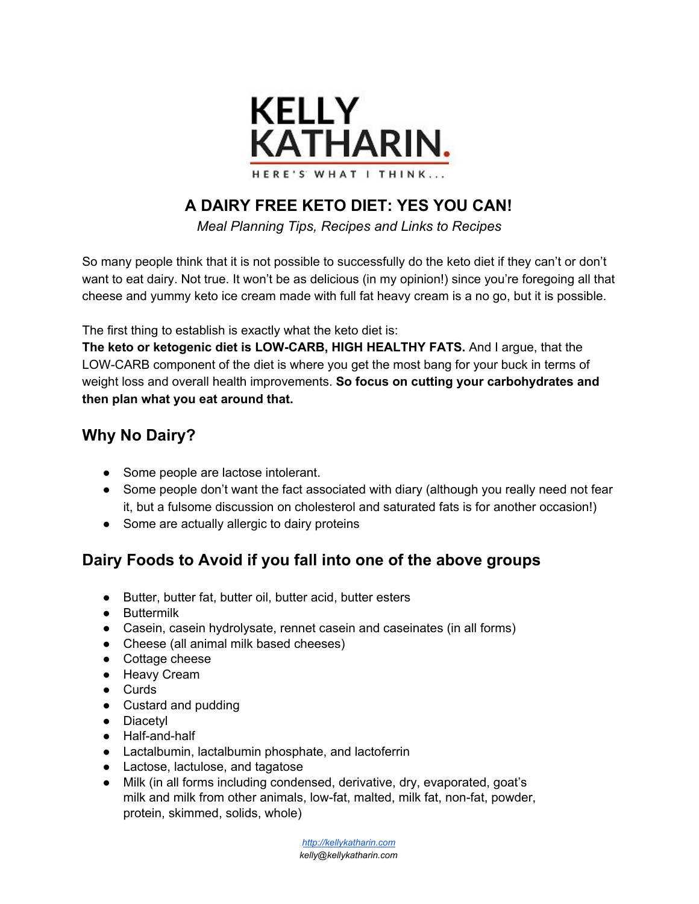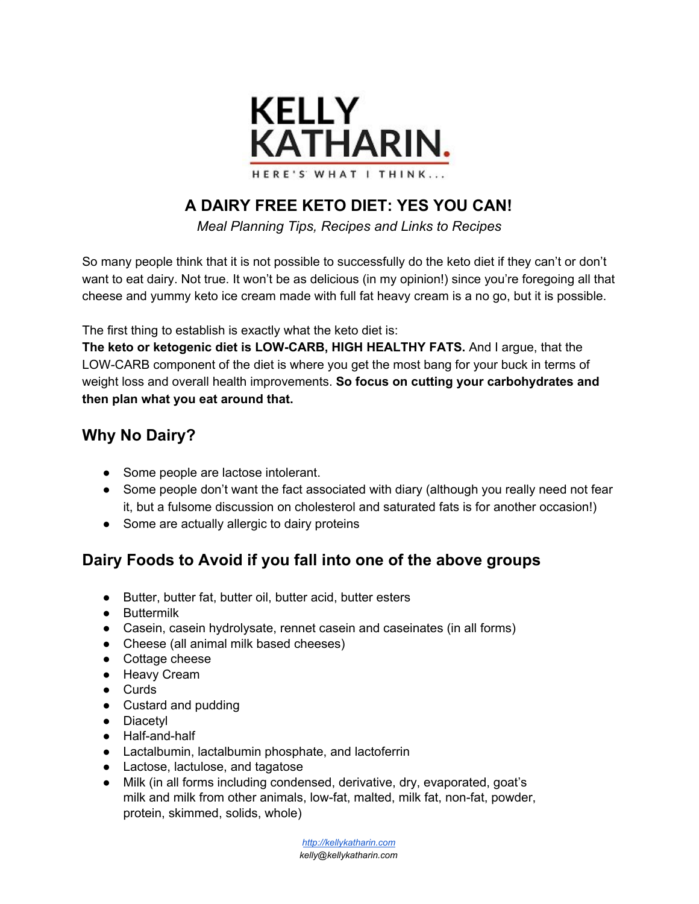# **Dairy Free Snack Options**

- Rotisserie chicken
- Tuna salad on cucumber slices (omit the mayo and add lime juice & pepper instead)
- Hard boiled eggs
- Nuts and seeds *(mind your portions and check carb count per serving!)*
- Deli meat slices and pickles
- Berries

**I've provided some useful links to recipes below:** *Here are the dairy-free versions of Yre XYggYfrgžd]nnUEVfYUXg/ a i [ 'VfYUX''* 

- **● Desserts:** <https://chocolatecoveredkatie.com/2018/03/08/keto-dessert-recipes-vegan/>
- **● Pizza:** <https://www.gnom-gnom.com/gluten-free-paleo-keto-pizza-crust/> or <https://perfectketo.com/cauliflower-keto-pizza-crust/>
- **● Dairy free keto breads:** <http://www.lowcarbsosimple.com/easy-dairy-free-keto-bread/>
- **● Mug bread:** [https://www.aspicyperspective.com/low-carb-magic-mug-bread-gluten-free-s](https://www.aspicyperspective.com/low-carb-magic-mug-bread-gluten-free-sugar-free-dairy-free/) [ugar-free-dairy-free/](https://www.aspicyperspective.com/low-carb-magic-mug-bread-gluten-free-sugar-free-dairy-free/)

I offer a paid service for those who may feel it necessary. **Contact me if you want a personalised 14 day meal plan & weight loss coaching.** We discuss your current eating habits, allergies, likes and dislikes and I use this information to put an eating plan together for you. *Contact me at [kelly@kellykatharin.com](mailto:kelly@kellykatharin.com) if you are interested.*

**Recipes:**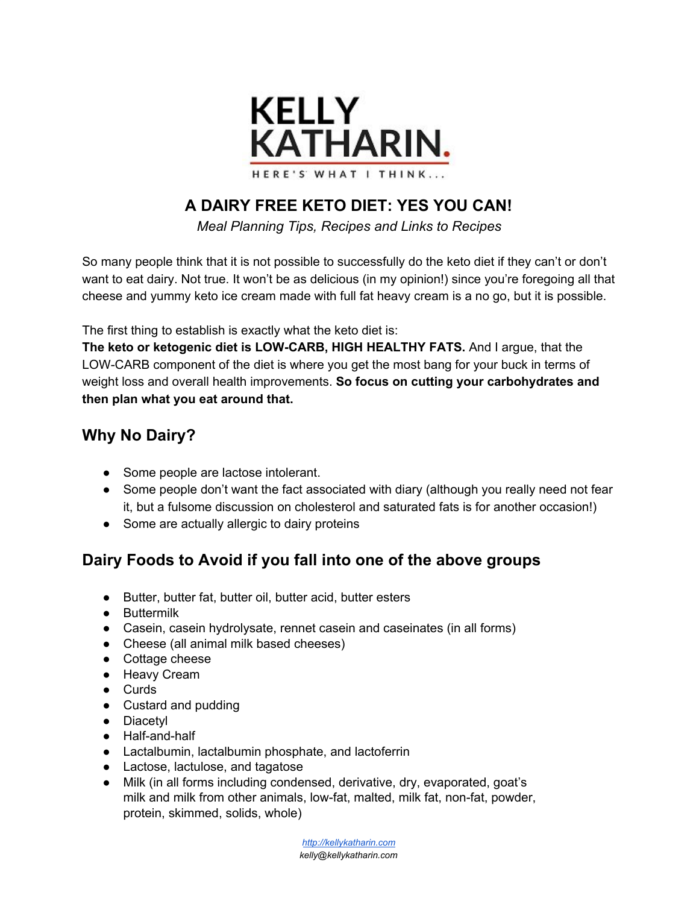## **FAUX KETO POPCORN (made with cauliflower)**

#### **INGREDIENTS**

- 1/2 cup cauliflower
- 2 tablespoons of coconut oil
- 2 teaspoons taco seasoning
- Salt to taste

#### **DIRECTIONS:**

- 1. Break the cauliflower into small florets and spread in a single layer on a plate
- 2. Microwave just until hot but not cooked
- 3. Pour the oil over the cauliflower
- 4. Add the taco seasoning
- 5. Mix gently

## **CRUNCHY KETO CRACKERS**

#### **INGREDIENTS**

- 1/3 cup almond flour
- 1 1/2 cups of your favorite seed combinations (sunflower and pumpkin seeds are great!)
- 1 tablespoon ground psyllium husk powder
- 1 teaspoon pink salt
- 4 tablespoons melted coconut oil
- 1 cup boiling water
- Optional: Fresh Rosemary for extra flavor

### **DIRECTIONS**

1. Mix all the ingredients together.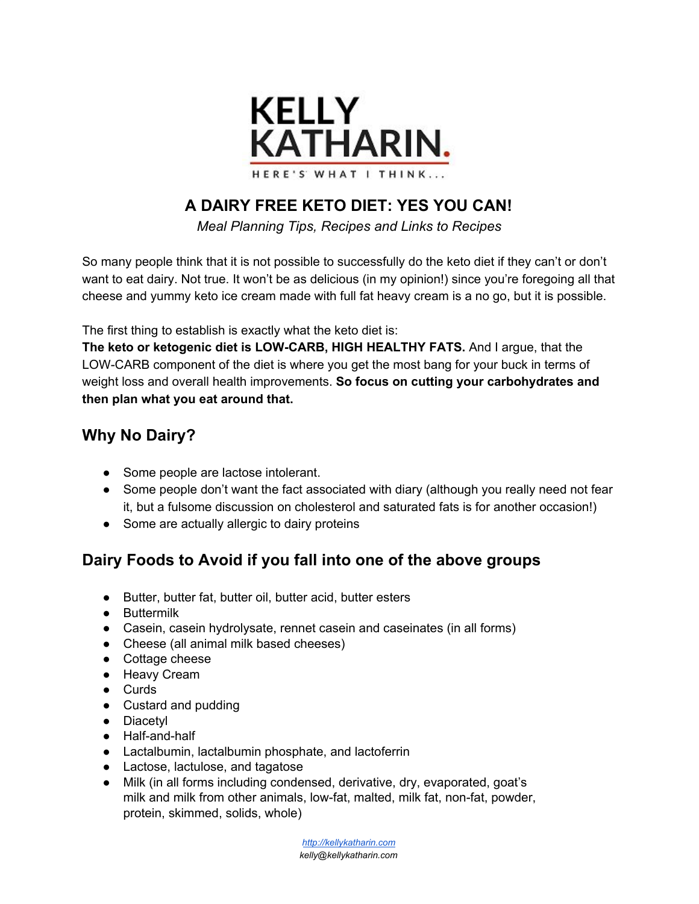- 2. Spread the dough out on a piece of parchment paper on a baking sheet and bake it on 300 degrees for about 40 to 45 minutes (careful carefully because some seeds cook faster than others).
- 3. When they are fresh out of the oven and hot, I like to sprinkle a bit more salt on the top of them before they cool.
- 4. You can use a pizza wheel to cut squares in the dough after you bake it or you can break off pieces when it's done.
- 5. All the crackers to completely cool before serving them.

## Low-Carb Berry Smoothie *Zmci 'k Ubh]hgk YYhYf 'h Ub 'h ]g f YWJdYZUXX U'dUW\_'cf & cZ GH9 J=5 'gk YYHYbYf're 'HJghY"* **INGREDIENTS**

- 14 oz. coconut milk
	- $\bullet$   $\frac{1}{2}$  cup frozen blueberries or fresh blueberries
	- 1 tbsp lemon juice
	- $\bullet$   $\frac{1}{2}$  tsp vanilla extract

## **INSTRUCTIONS**

- 1. Place all ingredients in a blender and mix until smooth. Using canned coconut milk makes a creamier, more satisfying smoothie.
- 2. Taste, and add more lemon juice if desired.

# **CAULIFLOWER FRIED RICE and its variants**

## **INGREDIENTS:**

- 1 medium head of cauliflower
- $\bullet$   $\frac{1}{2}$  onion
- 2 cloves garlic
- 1 stalk celery
- $\bullet$   $\frac{1}{2}$  small sweet pepper
- 2 tbsp virgin coconut oil
- 1 tsp salt/your favourite seasoning salt

## **DIRECTIONS:**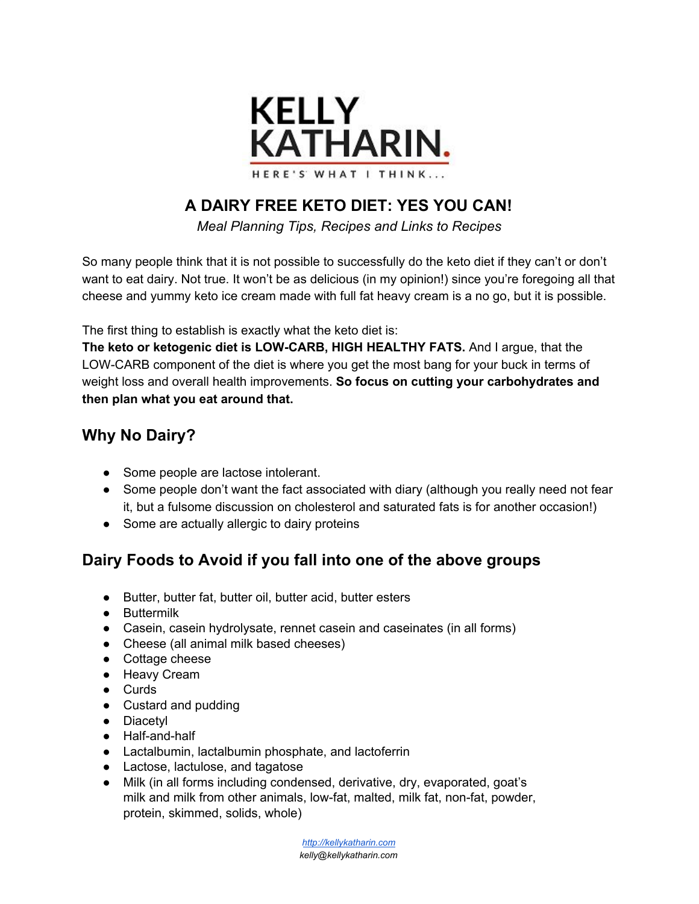- 1. Pulse all the ingredients except the oil and salt in your food processor for 30 seconds. Alternatively, you can finely chop by hand with a sharp knife.
- 2. Heat the oil in a frying pan. When hot, simply add what you chopped up in the food processor to the frying pan. Stir fry for 2 minutes.
- 3. Add salt/seasoning salt. Stir fry for another minute or two until just tender. Voila: rice!

*3527,3 You can add egg or veggies or shrimp or chicken to this basic recipe to create one pot meals that are delicious, simple, convenient and totally low carb.*

# **KETO GRANOLA CEREAL**

INGREDIENTS *fhci 'VUb'ZYY'ZYY'hc 'UXX'cf'gi VHUWfih Y'bi hg'UbX'gYYXg'nci "LY"* Vi h YYd'h Ydfcdcfhcbg*cZXfmhck YhjbffYXJYbhg'h YgUa Y'Ug'h YfYWdY'VY*ck<sup>o</sup> Gc JZnci XcbBik UbhgYgUa YgYYXgžUXX a cfYW: Webi hcf gi bZck Yf gYYXgŁ

- 8 oz. pecans or hazelnuts or almonds
- $\bullet$   $\frac{3}{4}$  cup unsweetened shredded coconut
- 1 cup sunflower seeds
- 4 tbsp pumpkin seeds
- 4 tbsp sesame seeds
- $\bullet$   $\frac{3}{4}$  cup flaxseed
- 1 tbsp turmeric
- 1 tbsp ground cinnamon
- 2 tsp vanilla extract
- $\bullet$   $\frac{1}{2}$  cup [almond](https://www.dietdoctor.com/ingredients/almond-flour) flour
- 1 cup water
- 4 tbsp coconut oil

## **DIRECTIONS**

- 1. Preheat the oven to 300°F (150°C). Chop the nuts coarsely in a food processor or with a sharp knife. Mix all ingredients in a bowl.
- 2. Spread out on a baking sheet lined with parchment paper. Roast in the oven for 20 minutes. Be sure to set a timer. Nuts and seeds are heat sensitive and should not get burned.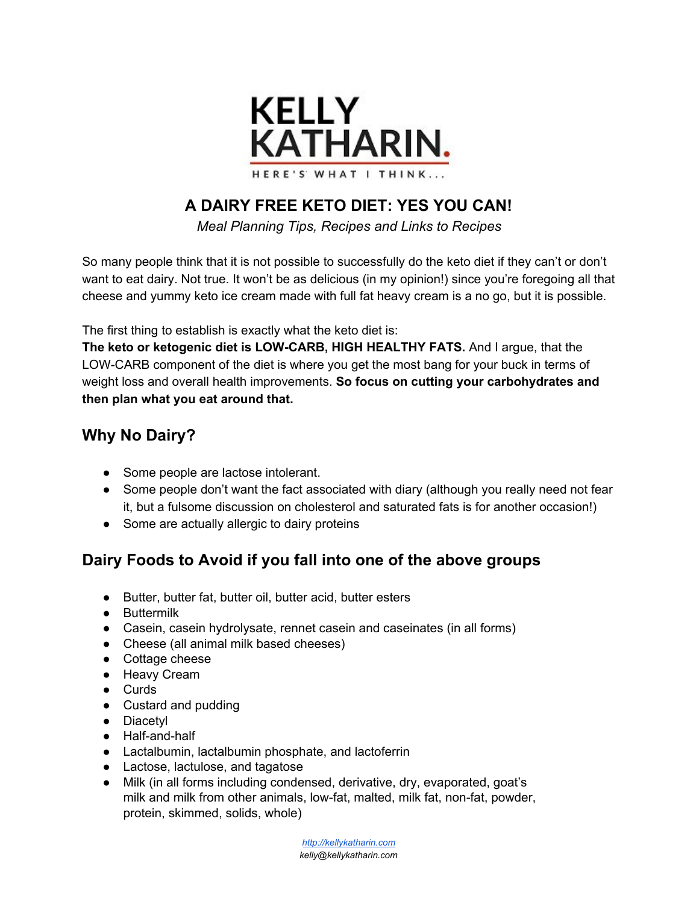3. Remove from the oven and stir the mixture, then return to the oven for about 20 minutes more. Check again. When the granola feels almost dry, turn off the heat and let the granola cool in the residual heat of the cooling oven.

A ⅓ to a ½ cup of this granola will keep you full. Eat dry as a snack or have it with a cup of coconut or almond milk.



# KELLY<br>KATHARIN. HERE'S WHAT I THINK...

*[http://kellykatharin.com](http://kellykatharin.com/) kelly@kellykatharin.com*